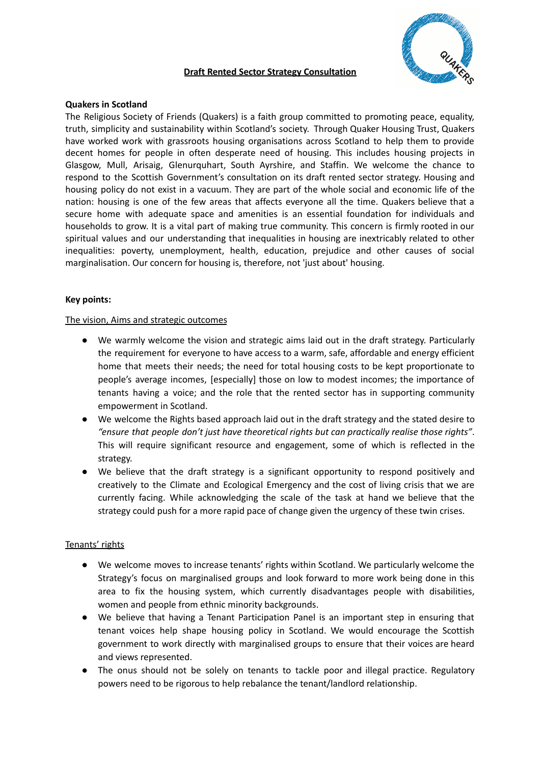# **Draft Rented Sector Strategy Consultation**



## **Quakers in Scotland**

The Religious Society of Friends (Quakers) is a faith group committed to promoting peace, equality, truth, simplicity and sustainability within Scotland's society. Through Quaker Housing Trust, Quakers have worked work with grassroots housing organisations across Scotland to help them to provide decent homes for people in often desperate need of housing. This includes housing projects in Glasgow, Mull, Arisaig, Glenurquhart, South Ayrshire, and Staffin. We welcome the chance to respond to the Scottish Government's consultation on its draft rented sector strategy. Housing and housing policy do not exist in a vacuum. They are part of the whole social and economic life of the nation: housing is one of the few areas that affects everyone all the time. Quakers believe that a secure home with adequate space and amenities is an essential foundation for individuals and households to grow. It is a vital part of making true community. This concern is firmly rooted in our spiritual values and our understanding that inequalities in housing are inextricably related to other inequalities: poverty, unemployment, health, education, prejudice and other causes of social marginalisation. Our concern for housing is, therefore, not 'just about' housing.

#### **Key points:**

#### The vision, Aims and strategic outcomes

- We warmly welcome the vision and strategic aims laid out in the draft strategy. Particularly the requirement for everyone to have access to a warm, safe, affordable and energy efficient home that meets their needs; the need for total housing costs to be kept proportionate to people's average incomes, [especially] those on low to modest incomes; the importance of tenants having a voice; and the role that the rented sector has in supporting community empowerment in Scotland.
- *●* We welcome the Rights based approach laid out in the draft strategy and the stated desire to *"ensure that people don't just have theoretical rights but can practically realise those rights"*. This will require significant resource and engagement, some of which is reflected in the strategy.
- We believe that the draft strategy is a significant opportunity to respond positively and creatively to the Climate and Ecological Emergency and the cost of living crisis that we are currently facing. While acknowledging the scale of the task at hand we believe that the strategy could push for a more rapid pace of change given the urgency of these twin crises.

## Tenants' rights

- We welcome moves to increase tenants' rights within Scotland. We particularly welcome the Strategy's focus on marginalised groups and look forward to more work being done in this area to fix the housing system, which currently disadvantages people with disabilities, women and people from ethnic minority backgrounds.
- We believe that having a Tenant Participation Panel is an important step in ensuring that tenant voices help shape housing policy in Scotland. We would encourage the Scottish government to work directly with marginalised groups to ensure that their voices are heard and views represented.
- The onus should not be solely on tenants to tackle poor and illegal practice. Regulatory powers need to be rigorous to help rebalance the tenant/landlord relationship.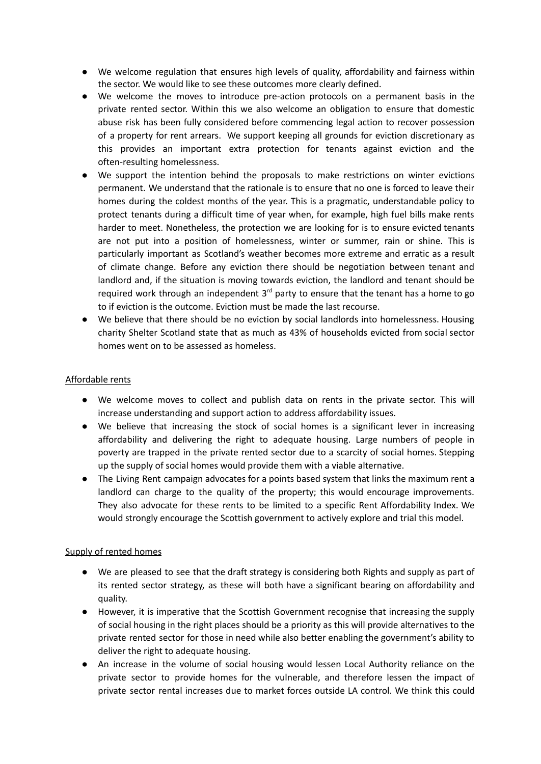- We welcome regulation that ensures high levels of quality, affordability and fairness within the sector. We would like to see these outcomes more clearly defined.
- We welcome the moves to introduce pre-action protocols on a permanent basis in the private rented sector. Within this we also welcome an obligation to ensure that domestic abuse risk has been fully considered before commencing legal action to recover possession of a property for rent arrears. We support keeping all grounds for eviction discretionary as this provides an important extra protection for tenants against eviction and the often-resulting homelessness.
- We support the intention behind the proposals to make restrictions on winter evictions permanent. We understand that the rationale is to ensure that no one is forced to leave their homes during the coldest months of the year. This is a pragmatic, understandable policy to protect tenants during a difficult time of year when, for example, high fuel bills make rents harder to meet. Nonetheless, the protection we are looking for is to ensure evicted tenants are not put into a position of homelessness, winter or summer, rain or shine. This is particularly important as Scotland's weather becomes more extreme and erratic as a result of climate change. Before any eviction there should be negotiation between tenant and landlord and, if the situation is moving towards eviction, the landlord and tenant should be required work through an independent  $3<sup>rd</sup>$  party to ensure that the tenant has a home to go to if eviction is the outcome. Eviction must be made the last recourse.
- We believe that there should be no eviction by social landlords into homelessness. Housing charity Shelter Scotland state that as much as 43% of households evicted from social sector homes went on to be assessed as homeless.

## Affordable rents

- We welcome moves to collect and publish data on rents in the private sector. This will increase understanding and support action to address affordability issues.
- We believe that increasing the stock of social homes is a significant lever in increasing affordability and delivering the right to adequate housing. Large numbers of people in poverty are trapped in the private rented sector due to a scarcity of social homes. Stepping up the supply of social homes would provide them with a viable alternative.
- The Living Rent campaign advocates for a points based system that links the maximum rent a landlord can charge to the quality of the property; this would encourage improvements. They also advocate for these rents to be limited to a specific Rent Affordability Index. We would strongly encourage the Scottish government to actively explore and trial this model.

## Supply of rented homes

- We are pleased to see that the draft strategy is considering both Rights and supply as part of its rented sector strategy, as these will both have a significant bearing on affordability and quality.
- However, it is imperative that the Scottish Government recognise that increasing the supply of social housing in the right places should be a priority as this will provide alternatives to the private rented sector for those in need while also better enabling the government's ability to deliver the right to adequate housing.
- An increase in the volume of social housing would lessen Local Authority reliance on the private sector to provide homes for the vulnerable, and therefore lessen the impact of private sector rental increases due to market forces outside LA control. We think this could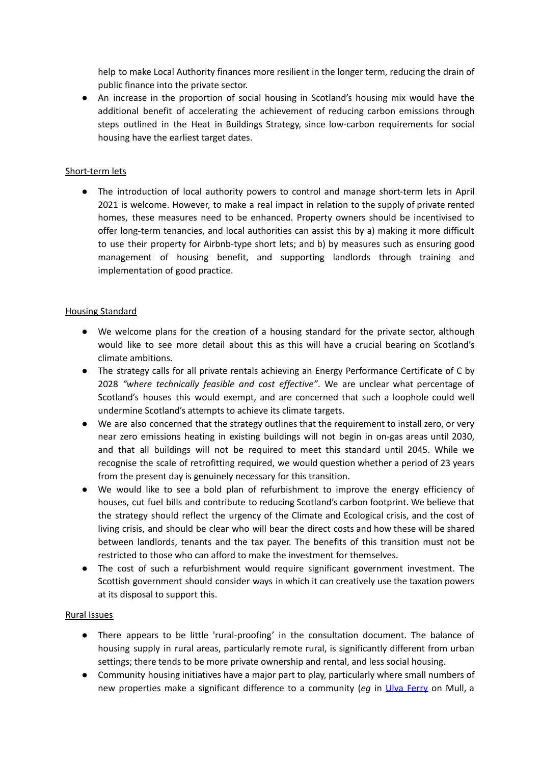help to make Local Authority finances more resilient in the longer term, reducing the drain of public finance into the private sector.

● An increase in the proportion of social housing in Scotland's housing mix would have the additional benefit of accelerating the achievement of reducing carbon emissions through steps outlined in the Heat in Buildings Strategy, since low-carbon requirements for social housing have the earliest target dates.

# Short-term lets

● The introduction of local authority powers to control and manage short-term lets in April 2021 is welcome. However, to make a real impact in relation to the supply of private rented homes, these measures need to be enhanced. Property owners should be incentivised to offer long-term tenancies, and local authorities can assist this by a) making it more difficult to use their property for Airbnb-type short lets; and b) by measures such as ensuring good management of housing benefit, and supporting landlords through training and implementation of good practice.

## Housing Standard

- We welcome plans for the creation of a housing standard for the private sector, although would like to see more detail about this as this will have a crucial bearing on Scotland's climate ambitions.
- The strategy calls for all private rentals achieving an Energy Performance Certificate of C by 2028 *"where technically feasible and cost effective"*. We are unclear what percentage of Scotland's houses this would exempt, and are concerned that such a loophole could well undermine Scotland's attempts to achieve its climate targets.
- We are also concerned that the strategy outlines that the requirement to install zero, or very near zero emissions heating in existing buildings will not begin in on-gas areas until 2030, and that all buildings will not be required to meet this standard until 2045. While we recognise the scale of retrofitting required, we would question whether a period of 23 years from the present day is genuinely necessary for this transition.
- We would like to see a bold plan of refurbishment to improve the energy efficiency of houses, cut fuel bills and contribute to reducing Scotland's carbon footprint. We believe that the strategy should reflect the urgency of the Climate and Ecological crisis, and the cost of living crisis, and should be clear who will bear the direct costs and how these will be shared between landlords, tenants and the tax payer. The benefits of this transition must not be restricted to those who can afford to make the investment for themselves.
- The cost of such a refurbishment would require significant government investment. The Scottish government should consider ways in which it can creatively use the taxation powers at its disposal to support this.

## Rural Issues

- There appears to be little 'rural-proofing' in the consultation document. The balance of housing supply in rural areas, particularly remote rural, is significantly different from urban settings; there tends to be more private ownership and rental, and less social housing.
- Community housing initiatives have a major part to play, particularly where small numbers of new properties make a significant difference to a community (*eg* in Ulva [Ferry](https://www.mict.co.uk/projects-services/ulva-ferry-housing-project/) on Mull, a